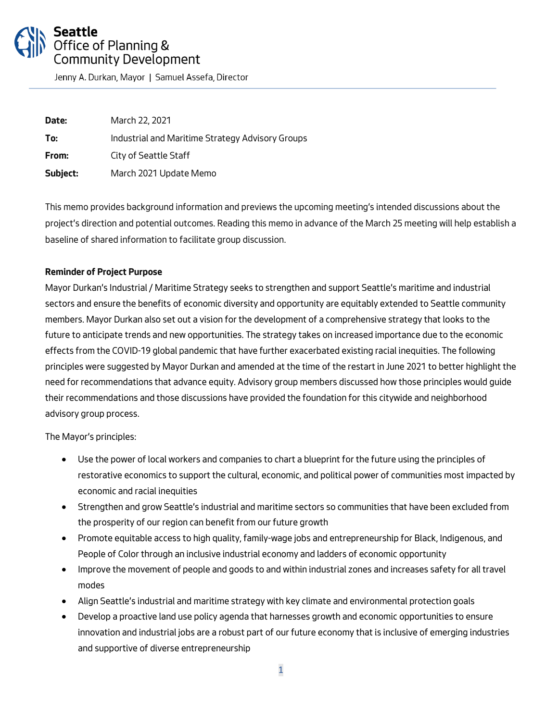# Seattle Office of Planning & **Community Development**

Jenny A. Durkan, Mayor | Samuel Assefa, Director

**Date:** *March 22, 2021* **To:** *Industrial and Maritime Strategy Advisory Groups* **From:** *City of Seattle Staff* **Subject:** *March 2021 Update Memo*

*This memo provides background information and previews the upcoming meeting's intended discussions about the project's direction and potential outcomes. Reading this memo in advance of the March 25 meeting will help establish a baseline of shared information to facilitate group discussion.* 

#### **Reminder of Project Purpose**

*Mayor Durkan's Industrial / Maritime Strategy seeks to strengthen and support Seattle's maritime and industrial sectors and ensure the benefits of economic diversity and opportunity are equitably extended to Seattle community members. Mayor Durkan also set out a vision for the development of a comprehensive strategy that looks to the future to anticipate trends and new opportunities. The strategy takes on increased importance due to the economic effects from the COVID-19 global pandemic that have further exacerbated existing racial inequities. The following principles were suggested by Mayor Durkan and amended at the time of the restart in June 2021 to better highlight the need for recommendations that advance equity. Advisory group members discussed how those principles would guide their recommendations and those discussions have provided the foundation for this citywide and neighborhood advisory group process.*

*The Mayor's principles:*

- *Use the power of local workers and companies to chart a blueprint for the future using the principles of restorative economics to support the cultural, economic, and political power of communities most impacted by economic and racial inequities*
- *Strengthen and grow Seattle's industrial and maritime sectors so communities that have been excluded from the prosperity of our region can benefit from our future growth*
- *Promote equitable access to high quality, family-wage jobs and entrepreneurship for Black, Indigenous, and People of Color through an inclusive industrial economy and ladders of economic opportunity*
- *Improve the movement of people and goods to and within industrial zones and increases safety for all travel modes*
- *Align Seattle's industrial and maritime strategy with key climate and environmental protection goals*
- *Develop a proactive land use policy agenda that harnesses growth and economic opportunities to ensure innovation and industrial jobs are a robust part of our future economy that is inclusive of emerging industries and supportive of diverse entrepreneurship*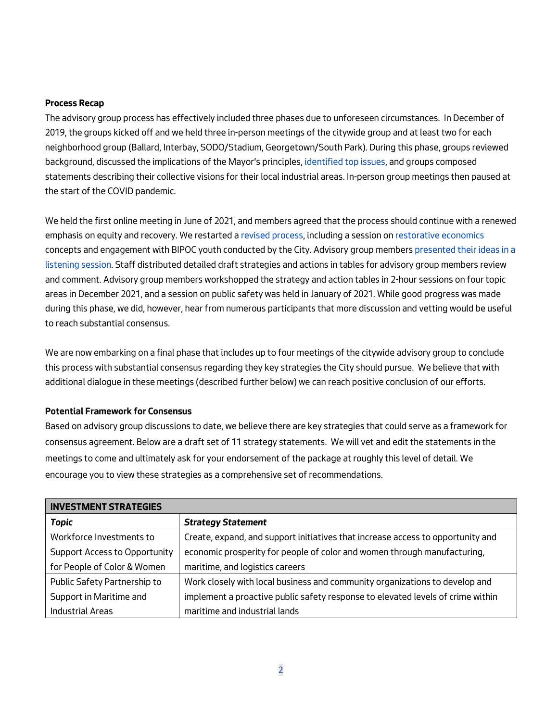#### **Process Recap**

*The advisory group process has effectively included three phases due to unforeseen circumstances. In December of 2019, the groups kicked off and we held three in-person meetings of the citywide group and at least two for each neighborhood group (Ballard, Interbay, SODO/Stadium, Georgetown/South Park). During this phase, groups reviewed background, discussed the implications of the Mayor's principles[, identified top issues,](https://www.seattle.gov/Documents/Departments/OPCD/OngoingInitiatives/IndustrialMaritimeStrategy/IndustrialMaritimeCitywidePresentationJune2020.pdf) and groups composed statements describing their collective visions for their local industrial areas. In-person group meetings then paused at the start of the COVID pandemic.*

*We held the first online meeting in June of 2021, and members agreed that the process should continue with a renewed emphasis on equity and recovery. We restarted [a revised process,](https://www.seattle.gov/Documents/Departments/OPCD/OngoingInitiatives/IndustrialMaritimeStrategy/IndustrialMaritimeLandUseAdvisoryGroupsRevisedProcessTimeline.pdf) including a session on [restorative economics](https://www.youtube.com/watch?v=ZMRmkkdcCMw) concepts and engagement with BIPOC youth conducted by the City. Advisory group member[s presented their ideas in a](https://www.seattle.gov/Documents/Departments/OPCD/OngoingInitiatives/IndustrialMaritimeStrategy/IndustrialStrategyListeningSession.pdf)  [listening session.](https://www.seattle.gov/Documents/Departments/OPCD/OngoingInitiatives/IndustrialMaritimeStrategy/IndustrialStrategyListeningSession.pdf) Staff distributed detailed draft strategies and actions in tables for advisory group members review and comment. Advisory group members workshopped the strategy and action tables in 2-hour sessions on four topic areas in December 2021, and a session on public safety was held in January of 2021. While good progress was made during this phase, we did, however, hear from numerous participants that more discussion and vetting would be useful to reach substantial consensus.*

*We are now embarking on a final phase that includes up to four meetings of the citywide advisory group to conclude this process with substantial consensus regarding they key strategies the City should pursue. We believe that with additional dialogue in these meetings (described further below) we can reach positive conclusion of our efforts.* 

#### **Potential Framework for Consensus**

*Based on advisory group discussions to date, we believe there are key strategies that could serve as a framework for consensus agreement. Below are a draft set of 11 strategy statements. We will vet and edit the statements in the meetings to come and ultimately ask for your endorsement of the package at roughly this level of detail. We encourage you to view these strategies as a comprehensive set of recommendations.* 

| <b>INVESTMENT STRATEGIES</b>         |                                                                                 |
|--------------------------------------|---------------------------------------------------------------------------------|
| <b>Topic</b>                         | <b>Strategy Statement</b>                                                       |
| Workforce Investments to             | Create, expand, and support initiatives that increase access to opportunity and |
| <b>Support Access to Opportunity</b> | economic prosperity for people of color and women through manufacturing,        |
| for People of Color & Women          | maritime, and logistics careers                                                 |
| Public Safety Partnership to         | Work closely with local business and community organizations to develop and     |
| Support in Maritime and              | implement a proactive public safety response to elevated levels of crime within |
| <b>Industrial Areas</b>              | maritime and industrial lands                                                   |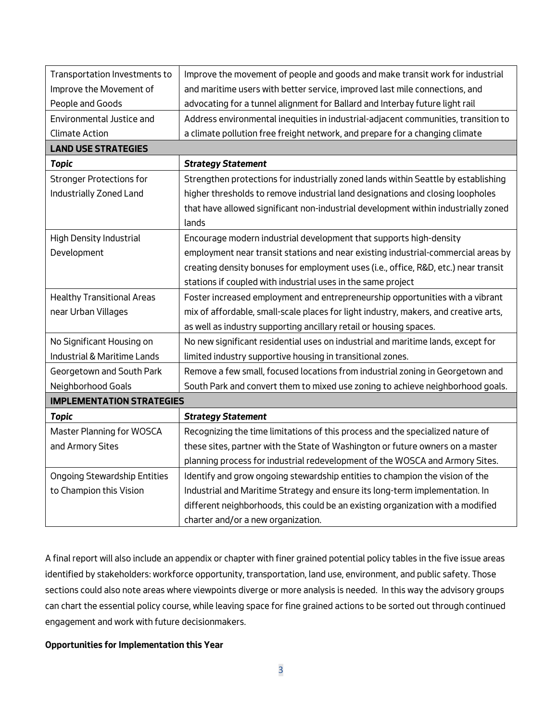| Transportation Investments to       | Improve the movement of people and goods and make transit work for industrial        |  |
|-------------------------------------|--------------------------------------------------------------------------------------|--|
| Improve the Movement of             | and maritime users with better service, improved last mile connections, and          |  |
| People and Goods                    | advocating for a tunnel alignment for Ballard and Interbay future light rail         |  |
| Environmental Justice and           | Address environmental inequities in industrial-adjacent communities, transition to   |  |
| <b>Climate Action</b>               | a climate pollution free freight network, and prepare for a changing climate         |  |
| <b>LAND USE STRATEGIES</b>          |                                                                                      |  |
| <b>Topic</b>                        | <b>Strategy Statement</b>                                                            |  |
| <b>Stronger Protections for</b>     | Strengthen protections for industrially zoned lands within Seattle by establishing   |  |
| Industrially Zoned Land             | higher thresholds to remove industrial land designations and closing loopholes       |  |
|                                     | that have allowed significant non-industrial development within industrially zoned   |  |
|                                     | lands                                                                                |  |
| <b>High Density Industrial</b>      | Encourage modern industrial development that supports high-density                   |  |
| Development                         | employment near transit stations and near existing industrial-commercial areas by    |  |
|                                     | creating density bonuses for employment uses (i.e., office, R&D, etc.) near transit  |  |
|                                     | stations if coupled with industrial uses in the same project                         |  |
| <b>Healthy Transitional Areas</b>   | Foster increased employment and entrepreneurship opportunities with a vibrant        |  |
| near Urban Villages                 | mix of affordable, small-scale places for light industry, makers, and creative arts, |  |
|                                     | as well as industry supporting ancillary retail or housing spaces.                   |  |
| No Significant Housing on           | No new significant residential uses on industrial and maritime lands, except for     |  |
| Industrial & Maritime Lands         | limited industry supportive housing in transitional zones.                           |  |
| Georgetown and South Park           | Remove a few small, focused locations from industrial zoning in Georgetown and       |  |
| Neighborhood Goals                  | South Park and convert them to mixed use zoning to achieve neighborhood goals.       |  |
| <b>IMPLEMENTATION STRATEGIES</b>    |                                                                                      |  |
| <b>Topic</b>                        | <b>Strategy Statement</b>                                                            |  |
| Master Planning for WOSCA           | Recognizing the time limitations of this process and the specialized nature of       |  |
| and Armory Sites                    | these sites, partner with the State of Washington or future owners on a master       |  |
|                                     | planning process for industrial redevelopment of the WOSCA and Armory Sites.         |  |
| <b>Ongoing Stewardship Entities</b> | Identify and grow ongoing stewardship entities to champion the vision of the         |  |
| to Champion this Vision             | Industrial and Maritime Strategy and ensure its long-term implementation. In         |  |
|                                     | different neighborhoods, this could be an existing organization with a modified      |  |
|                                     | charter and/or a new organization.                                                   |  |

*A final report will also include an appendix or chapter with finer grained potential policy tables in the five issue areas identified by stakeholders: workforce opportunity, transportation, land use, environment, and public safety. Those sections could also note areas where viewpoints diverge or more analysis is needed. In this way the advisory groups can chart the essential policy course, while leaving space for fine grained actions to be sorted out through continued engagement and work with future decisionmakers.*

### **Opportunities for Implementation this Year**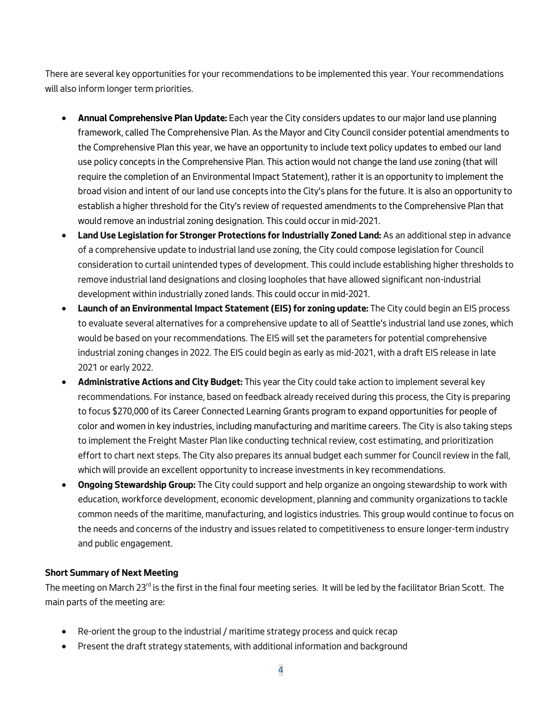*There are several key opportunities for your recommendations to be implemented this year. Your recommendations will also inform longer term priorities.* 

- **Annual Comprehensive Plan Update:** *Each year the City considers updates to our major land use planning framework, called The Comprehensive Plan. As the Mayor and City Council consider potential amendments to the Comprehensive Plan this year, we have an opportunity to include text policy updates to embed our land use policy concepts in the Comprehensive Plan. This action would not change the land use zoning (that will require the completion of an Environmental Impact Statement), rather it is an opportunity to implement the broad vision and intent of our land use concepts into the City's plans for the future. It is also an opportunity to establish a higher threshold for the City's review of requested amendments to the Comprehensive Plan that would remove an industrial zoning designation. This could occur in mid-2021.*
- **Land Use Legislation for Stronger Protections for Industrially Zoned Land:** *As an additional step in advance of a comprehensive update to industrial land use zoning, the City could compose legislation for Council consideration to curtail unintended types of development. This could include establishing higher thresholds to remove industrial land designations and closing loopholes that have allowed significant non-industrial development within industrially zoned lands. This could occur in mid-2021.*
- **Launch of an Environmental Impact Statement (EIS) for zoning update:** *The City could begin an EIS process to evaluate several alternatives for a comprehensive update to all of Seattle's industrial land use zones, which would be based on your recommendations. The EIS will set the parameters for potential comprehensive industrial zoning changes in 2022. The EIS could begin as early as mid-2021, with a draft EIS release in late 2021 or early 2022.*
- **Administrative Actions and City Budget:** *This year the City could take action to implement several key*  recommendations. For instance, based on feedback already received during this process, the City is preparing *to focus \$270,000 of its Career Connected Learning Grants program to expand opportunities for people of color and women in key industries, including manufacturing and maritime careers. The City is also taking steps to implement the Freight Master Plan like conducting technical review, cost estimating, and prioritization effort to chart next steps. The City also prepares its annual budget each summer for Council review in the fall, which will provide an excellent opportunity to increase investments in key recommendations.*
- **Ongoing Stewardship Group:** *The City could support and help organize an ongoing stewardship to work with education, workforce development, economic development, planning and community organizations to tackle common needs of the maritime, manufacturing, and logistics industries. This group would continue to focus on the needs and concerns of the industry and issues related to competitiveness to ensure longer-term industry and public engagement.*

#### **Short Summary of Next Meeting**

*The meeting on March 23rd is the first in the final four meeting series. It will be led by the facilitator Brian Scott. The main parts of the meeting are:* 

- *Re-orient the group to the industrial / maritime strategy process and quick recap*
- *Present the draft strategy statements, with additional information and background*